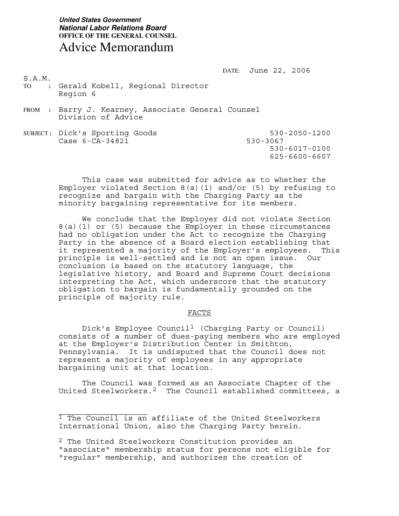DATE: June 22, 2006

S.A.M.

- TO : Gerald Kobell, Regional Director Region 6
- FROM : Barry J. Kearney, Associate General Counsel Division of Advice
- SUBJECT: Dick's Sporting Goods 530-2050-1200<br>Case 6-CA-34821 530-3067  $Case 6 - CA - 34821$  530-6017-0100 625-6600-6607

 This case was submitted for advice as to whether the Employer violated Section 8(a)(1) and/or (5) by refusing to recognize and bargain with the Charging Party as the minority bargaining representative for its members.

 We conclude that the Employer did not violate Section 8(a)(1) or (5) because the Employer in these circumstances had no obligation under the Act to recognize the Charging Party in the absence of a Board election establishing that it represented a majority of the Employer's employees. This principle is well-settled and is not an open issue. Our conclusion is based on the statutory language, the legislative history, and Board and Supreme Court decisions interpreting the Act, which underscore that the statutory obligation to bargain is fundamentally grounded on the principle of majority rule.

#### FACTS

Dick's Employee Council<sup>[1](#page-0-0)</sup> (Charging Party or Council) consists of a number of dues-paying members who are employed at the Employer's Distribution Center in Smithton, Pennsylvania. It is undisputed that the Council does not represent a majority of employees in any appropriate bargaining unit at that location.

The Council was formed as an Associate Chapter of the United Steelworkers.[2](#page-0-1) The Council established committees, a

<span id="page-0-0"></span> $\_$ <sup>1</sup> The Council is an affiliate of the United Steelworkers International Union, also the Charging Party herein.

<span id="page-0-1"></span><sup>2</sup> The United Steelworkers Constitution provides an "associate" membership status for persons not eligible for "regular" membership, and authorizes the creation of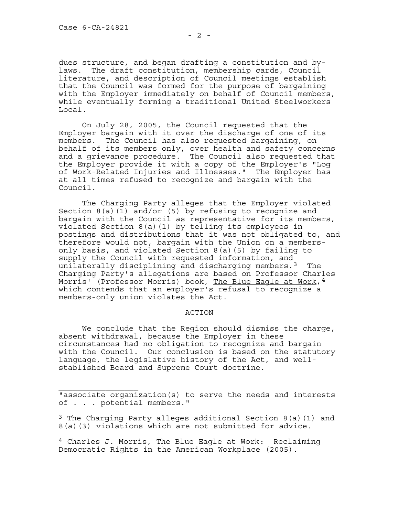$\overline{\phantom{a}}$  , where the contract of the contract of the contract of the contract of the contract of the contract of the contract of the contract of the contract of the contract of the contract of the contract of the contr

dues structure, and began drafting a constitution and bylaws. The draft constitution, membership cards, Council literature, and description of Council meetings establish that the Council was formed for the purpose of bargaining with the Employer immediately on behalf of Council members, while eventually forming a traditional United Steelworkers Local.

 On July 28, 2005, the Council requested that the Employer bargain with it over the discharge of one of its members. The Council has also requested bargaining, on behalf of its members only, over health and safety concerns and a grievance procedure. The Council also requested that the Employer provide it with a copy of the Employer's "Log of Work-Related Injuries and Illnesses." The Employer has at all times refused to recognize and bargain with the Council.

 The Charging Party alleges that the Employer violated Section 8(a)(1) and/or (5) by refusing to recognize and bargain with the Council as representative for its members, violated Section 8(a)(1) by telling its employees in postings and distributions that it was not obligated to, and therefore would not, bargain with the Union on a membersonly basis, and violated Section 8(a)(5) by failing to supply the Council with requested information, and unilaterally disciplining and discharging members.<sup>[3](#page-1-0)</sup> The Charging Party's allegations are based on Professor Charles Morris' (Professor Morris) book, The Blue Eagle at Work, [4](#page-1-1) which contends that an employer's refusal to recognize a members-only union violates the Act.

#### ACTION

 We conclude that the Region should dismiss the charge, absent withdrawal, because the Employer in these circumstances had no obligation to recognize and bargain with the Council. Our conclusion is based on the statutory language, the legislative history of the Act, and wellstablished Board and Supreme Court doctrine.

"associate organization(s) to serve the needs and interests of . . . potential members."

<span id="page-1-0"></span> $3$  The Charging Party alleges additional Section 8(a)(1) and 8(a)(3) violations which are not submitted for advice.

<span id="page-1-1"></span>4 Charles J. Morris, The Blue Eagle at Work: Reclaiming Democratic Rights in the American Workplace (2005).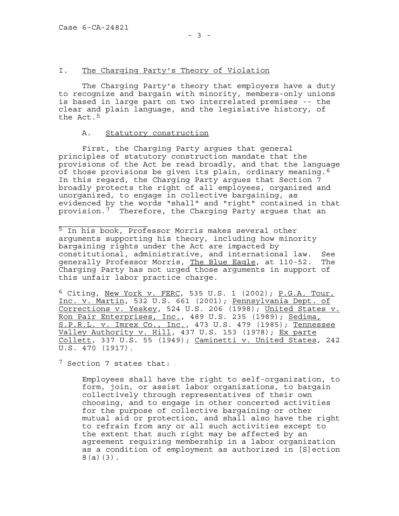# I. The Charging Party's Theory of Violation

 The Charging Party's theory that employers have a duty to recognize and bargain with minority, members-only unions is based in large part on two interrelated premises -- the clear and plain language, and the legislative history, of the Act.<sup>[5](#page-2-0)</sup>

#### A. Statutory construction

First, the Charging Party argues that general principles of statutory construction mandate that the provisions of the Act be read broadly, and that the language of those provisions be given its plain, ordinary meaning.<sup>[6](#page-2-1)</sup> In this regard, the Charging Party argues that Section 7 broadly protects the right of all employees, organized and unorganized, to engage in collective bargaining, as evidenced by the words "shall" and "right" contained in that provision.<sup>[7](#page-2-2)</sup> Therefore, the Charging Party argues that an

<span id="page-2-0"></span>\_\_\_\_\_\_\_\_\_\_\_\_\_\_\_\_\_\_\_ <sup>5</sup> In his book, Professor Morris makes several other arguments supporting his theory, including how minority bargaining rights under the Act are impacted by constitutional, administrative, and international law. See generally Professor Morris, The Blue Eagle, at 110-52. The Charging Party has not urged those arguments in support of this unfair labor practice charge.

<span id="page-2-1"></span>6 Citing, New York v. FERC, 535 U.S. 1 (2002); P.G.A. Tour, Inc. v. Martin, 532 U.S. 661 (2001); Pennsylvania Dept. of Corrections v. Yeskey, 524 U.S. 206 (1998); United States v. Ron Pair Enterprises, Inc., 489 U.S. 235 (1989); Sedima, S.P.R.L. v. Imrex Co., Inc., 473 U.S. 479 (1985); Tennessee Valley Authority v. Hill, 437 U.S. 153 (1978); Ex parte Collett, 337 U.S. 55 (1949); Caminetti v. United States, 242 U.S. 470 (1917).

<span id="page-2-2"></span>7 Section 7 states that:

Employees shall have the right to self-organization, to form, join, or assist labor organizations, to bargain collectively through representatives of their own choosing, and to engage in other concerted activities for the purpose of collective bargaining or other mutual aid or protection, and shall also have the right to refrain from any or all such activities except to the extent that such right may be affected by an agreement requiring membership in a labor organization as a condition of employment as authorized in [S]ection 8(a)(3).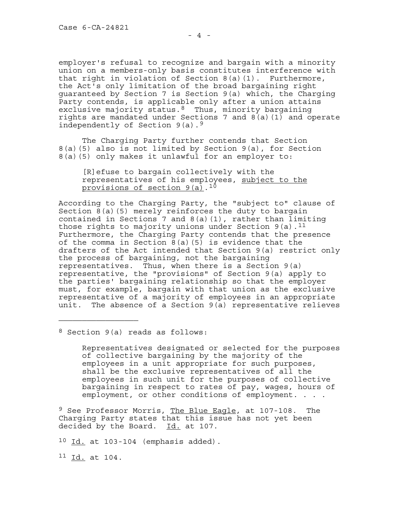employer's refusal to recognize and bargain with a minority union on a members-only basis constitutes interference with that right in violation of Section 8(a)(1). Furthermore, the Act's only limitation of the broad bargaining right guaranteed by Section 7 is Section 9(a) which, the Charging Party contends, is applicable only after a union attains exclusive majority status.<sup>[8](#page-3-0)</sup> Thus, minority bargaining rights are mandated under Sections 7 and 8(a)(1) and operate independently of Section 9(a).[9](#page-3-1)

The Charging Party further contends that Section 8(a)(5) also is not limited by Section 9(a), for Section 8(a)(5) only makes it unlawful for an employer to:

[R]efuse to bargain collectively with the representatives of his employees, subject to the provisions of section 9(a).<sup>[10](#page-3-2)</sup>

According to the Charging Party, the "subject to" clause of Section 8(a)(5) merely reinforces the duty to bargain contained in Sections 7 and 8(a)(1), rather than limiting those rights to majority unions under Section  $9(a)$ .<sup>[11](#page-3-3)</sup> Furthermore, the Charging Party contends that the presence of the comma in Section  $8(a)(5)$  is evidence that the drafters of the Act intended that Section 9(a) restrict only the process of bargaining, not the bargaining representatives. Thus, when there is a Section 9(a) representative, the "provisions" of Section 9(a) apply to the parties' bargaining relationship so that the employer must, for example, bargain with that union as the exclusive representative of a majority of employees in an appropriate unit. The absence of a Section 9(a) representative relieves

<span id="page-3-0"></span>8 Section 9(a) reads as follows:

 $\_$ 

Representatives designated or selected for the purposes of collective bargaining by the majority of the employees in a unit appropriate for such purposes, shall be the exclusive representatives of all the employees in such unit for the purposes of collective bargaining in respect to rates of pay, wages, hours of employment, or other conditions of employment. . . .

<span id="page-3-1"></span>9 See Professor Morris, The Blue Eagle, at 107-108. The Charging Party states that this issue has not yet been decided by the Board. Id. at 107.

<span id="page-3-2"></span> $10$  Id. at 103-104 (emphasis added).

<span id="page-3-3"></span> $11$  Id. at 104.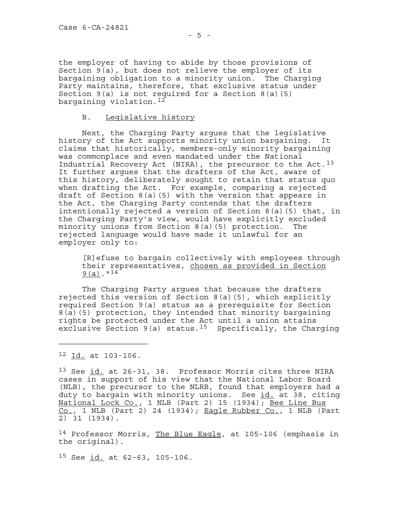the employer of having to abide by those provisions of Section 9(a), but does not relieve the employer of its bargaining obligation to a minority union. The Charging Party maintains, therefore, that exclusive status under Section  $9(a)$  is not required for a Section  $8(a)(5)$ bargaining violation.[12](#page-4-0)

# B. Legislative history

 Next, the Charging Party argues that the legislative history of the Act supports minority union bargaining. It claims that historically, members-only minority bargaining was commonplace and even mandated under the National Industrial Recovery Act (NIRA), the precursor to the Act.<sup>[13](#page-4-1)</sup> It further argues that the drafters of the Act, aware of this history, deliberately sought to retain that status quo when drafting the Act. For example, comparing a rejected draft of Section 8(a)(5) with the version that appears in the Act, the Charging Party contends that the drafters intentionally rejected a version of Section 8(a)(5) that, in the Charging Party's view, would have explicitly excluded minority unions from Section 8(a)(5) protection. The rejected language would have made it unlawful for an employer only to:

[R]efuse to bargain collectively with employees through their representatives, chosen as provided in Section  $9(a)$ . "[14](#page-4-2)

The Charging Party argues that because the drafters rejected this version of Section 8(a)(5), which explicitly required Section 9(a) status as a prerequisite for Section 8(a)(5) protection, they intended that minority bargaining rights be protected under the Act until a union attains exclusive Section 9(a) status.<sup>[15](#page-4-3)</sup> Specifically, the Charging

<span id="page-4-0"></span>12 Id. at 103-106.

 $\_$ 

<span id="page-4-1"></span><sup>13</sup> See id. at 26-31, 38. Professor Morris cites three NIRA cases in support of his view that the National Labor Board (NLB), the precursor to the NLRB, found that employers had a duty to bargain with minority unions. See id. at 38, citing National Lock Co., 1 NLB (Part 2) 15 (1934); Bee Line Bus  $Co.$ , 1 NLB (Part 2) 24 (1934); Eagle Rubber  $Co.$ , 1 NLB (Part 2) 31 (1934).

<span id="page-4-2"></span><sup>14</sup> Professor Morris, The Blue Eagle, at 105-106 (emphasis in the original).

<span id="page-4-3"></span> $15$  See  $\underline{\text{id.}}$  at 62-63, 105-106.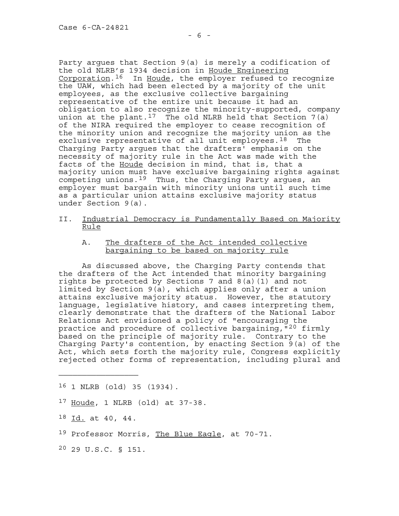Party argues that Section 9(a) is merely a codification of the old NLRB's 1934 decision in Houde Engineering Corporation.[16](#page-5-0) In Houde, the employer refused to recognize the UAW, which had been elected by a majority of the unit employees, as the exclusive collective bargaining representative of the entire unit because it had an obligation to also recognize the minority-supported, company union at the plant.<sup>[17](#page-5-1)</sup> The old NLRB held that Section 7(a) of the NIRA required the employer to cease recognition of the minority union and recognize the majority union as the exclusive representative of all unit employees.[18](#page-5-2) The Charging Party argues that the drafters' emphasis on the necessity of majority rule in the Act was made with the facts of the Houde decision in mind, that is, that a majority union must have exclusive bargaining rights against competing unions.[19](#page-5-3) Thus, the Charging Party argues, an employer must bargain with minority unions until such time as a particular union attains exclusive majority status under Section 9(a).

- II. Industrial Democracy is Fundamentally Based on Majority Rule
	- A. The drafters of the Act intended collective bargaining to be based on majority rule

As discussed above, the Charging Party contends that the drafters of the Act intended that minority bargaining rights be protected by Sections 7 and 8(a)(1) and not limited by Section 9(a), which applies only after a union attains exclusive majority status. However, the statutory language, legislative history, and cases interpreting them, clearly demonstrate that the drafters of the National Labor Relations Act envisioned a policy of "encouraging the practice and procedure of collective bargaining,"[20](#page-5-4) firmly based on the principle of majority rule. Contrary to the Charging Party's contention, by enacting Section 9(a) of the Act, which sets forth the majority rule, Congress explicitly rejected other forms of representation, including plural and

- <span id="page-5-0"></span>16 1 NLRB (old) 35 (1934).
- <span id="page-5-1"></span>17 Houde, 1 NLRB (old) at 37-38.
- <span id="page-5-2"></span> $18$  Id. at 40, 44.

 $\overline{\phantom{a}}$  , where the contract of the contract of the contract of the contract of the contract of the contract of the contract of the contract of the contract of the contract of the contract of the contract of the contr

- <span id="page-5-3"></span><sup>19</sup> Professor Morris, The Blue Eagle, at 70-71.
- <span id="page-5-4"></span>20 29 U.S.C. § 151.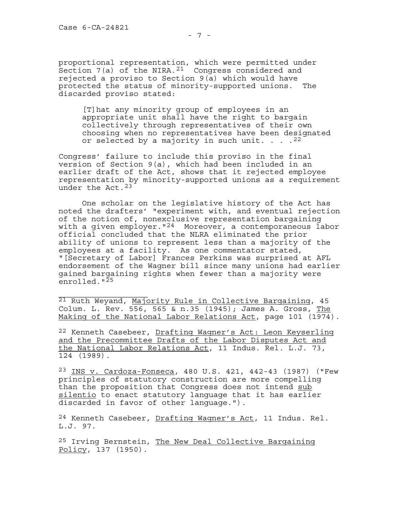proportional representation, which were permitted under Section 7(a) of the NIRA.<sup>[21](#page-6-0)</sup> Congress considered and rejected a proviso to Section 9(a) which would have protected the status of minority-supported unions. The discarded proviso stated:

[T]hat any minority group of employees in an appropriate unit shall have the right to bargain collectively through representatives of their own choosing when no representatives have been designated or selected by a majority in such unit.  $\ldots$  . <sup>[22](#page-6-1)</sup>

Congress' failure to include this proviso in the final version of Section 9(a), which had been included in an earlier draft of the Act, shows that it rejected employee representation by minority-supported unions as a requirement under the Act.[23](#page-6-2)

 One scholar on the legislative history of the Act has noted the drafters' "experiment with, and eventual rejection of the notion of, nonexclusive representation bargaining with a given employer."<sup>[24](#page-6-3)</sup> Moreover, a contemporaneous labor official concluded that the NLRA eliminated the prior ability of unions to represent less than a majority of the employees at a facility. As one commentator stated, "[Secretary of Labor] Frances Perkins was surprised at AFL endorsement of the Wagner bill since many unions had earlier gained bargaining rights when fewer than a majority were enrolled."<sup>[25](#page-6-4)</sup>

<span id="page-6-0"></span> $\_$ 21 Ruth Weyand, Majority Rule in Collective Bargaining, 45 Colum. L. Rev. 556, 565 & n.35 (1945); James A. Gross, The Making of the National Labor Relations Act, page 101 (1974).

<span id="page-6-1"></span><sup>22</sup> Kenneth Casebeer, Drafting Wagner's Act: Leon Keyserling and the Precommittee Drafts of the Labor Disputes Act and the National Labor Relations Act, 11 Indus. Rel. L.J. 73, 124 (1989).

<span id="page-6-2"></span>23 INS v. Cardoza-Fonseca, 480 U.S. 421, 442-43 (1987) ("Few principles of statutory construction are more compelling than the proposition that Congress does not intend sub silentio to enact statutory language that it has earlier discarded in favor of other language.").

<span id="page-6-3"></span><sup>24</sup> Kenneth Casebeer, <u>Drafting Wagner's Act</u>, 11 Indus. Rel. L.J. 97.

<span id="page-6-4"></span><sup>25</sup> Irving Bernstein, The New Deal Collective Bargaining Policy, 137 (1950).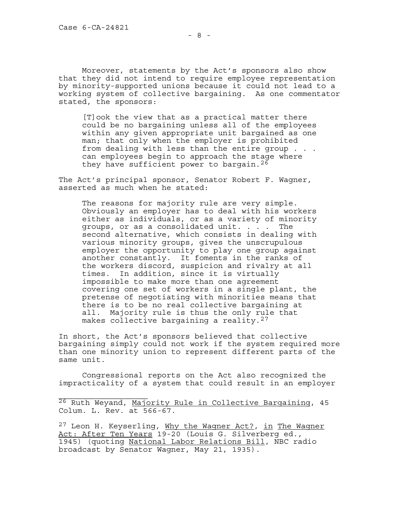Moreover, statements by the Act's sponsors also show that they did not intend to require employee representation by minority-supported unions because it could not lead to a working system of collective bargaining. As one commentator stated, the sponsors:

[T]ook the view that as a practical matter there could be no bargaining unless all of the employees within any given appropriate unit bargained as one man; that only when the employer is prohibited from dealing with less than the entire group . . . can employees begin to approach the stage where they have sufficient power to bargain.  $26$ 

The Act's principal sponsor, Senator Robert F. Wagner, asserted as much when he stated:

The reasons for majority rule are very simple. Obviously an employer has to deal with his workers either as individuals, or as a variety of minority groups, or as a consolidated unit. . . . The second alternative, which consists in dealing with various minority groups, gives the unscrupulous employer the opportunity to play one group against another constantly. It foments in the ranks of the workers discord, suspicion and rivalry at all times. In addition, since it is virtually impossible to make more than one agreement covering one set of workers in a single plant, the pretense of negotiating with minorities means that there is to be no real collective bargaining at all. Majority rule is thus the only rule that makes collective bargaining a reality.<sup>[27](#page-7-1)</sup>

In short, the Act's sponsors believed that collective bargaining simply could not work if the system required more than one minority union to represent different parts of the same unit.

Congressional reports on the Act also recognized the impracticality of a system that could result in an employer

<span id="page-7-0"></span>26 Ruth Weyand, Majority Rule in Collective Bargaining, 45 Colum. L. Rev. at 566-67.

<span id="page-7-1"></span><sup>27</sup> Leon H. Keyserling, Why the Waqner Act?, in The Wagner Act: After Ten Years 19-20 (Louis G. Silverberg ed., 1945) (quoting National Labor Relations Bill, NBC radio broadcast by Senator Wagner, May 21, 1935).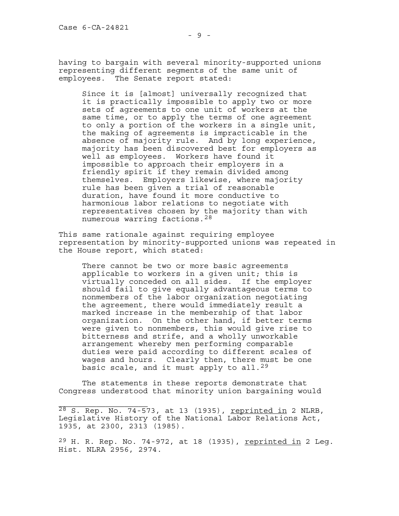having to bargain with several minority-supported unions representing different segments of the same unit of employees. The Senate report stated:

Since it is [almost] universally recognized that it is practically impossible to apply two or more sets of agreements to one unit of workers at the same time, or to apply the terms of one agreement to only a portion of the workers in a single unit, the making of agreements is impracticable in the absence of majority rule. And by long experience, majority has been discovered best for employers as well as employees. Workers have found it impossible to approach their employers in a friendly spirit if they remain divided among themselves. Employers likewise, where majority rule has been given a trial of reasonable duration, have found it more conductive to harmonious labor relations to negotiate with representatives chosen by the majority than with numerous warring factions.[28](#page-8-0)

This same rationale against requiring employee representation by minority-supported unions was repeated in the House report, which stated:

There cannot be two or more basic agreements applicable to workers in a given unit; this is virtually conceded on all sides. If the employer should fail to give equally advantageous terms to nonmembers of the labor organization negotiating the agreement, there would immediately result a marked increase in the membership of that labor organization. On the other hand, if better terms were given to nonmembers, this would give rise to bitterness and strife, and a wholly unworkable arrangement whereby men performing comparable duties were paid according to different scales of wages and hours. Clearly then, there must be one basic scale, and it must apply to all.<sup>[29](#page-8-1)</sup>

The statements in these reports demonstrate that Congress understood that minority union bargaining would

<span id="page-8-1"></span> $29$  H. R. Rep. No. 74-972, at 18 (1935), reprinted in 2 Leg. Hist. NLRA 2956, 2974.

<span id="page-8-0"></span> $28$  S. Rep. No. 74-573, at 13 (1935), <u>reprinted in</u> 2 NLRB, Legislative History of the National Labor Relations Act, 1935, at 2300, 2313 (1985).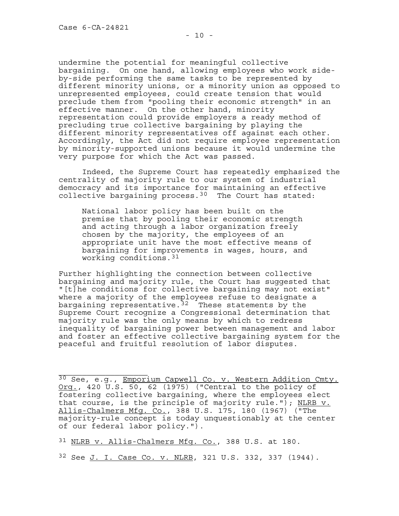undermine the potential for meaningful collective bargaining. On one hand, allowing employees who work sideby-side performing the same tasks to be represented by different minority unions, or a minority union as opposed to unrepresented employees, could create tension that would preclude them from "pooling their economic strength" in an effective manner. On the other hand, minority representation could provide employers a ready method of precluding true collective bargaining by playing the different minority representatives off against each other. Accordingly, the Act did not require employee representation by minority-supported unions because it would undermine the very purpose for which the Act was passed.

Indeed, the Supreme Court has repeatedly emphasized the centrality of majority rule to our system of industrial democracy and its importance for maintaining an effective collective bargaining process.  $30$  The Court has stated:

National labor policy has been built on the premise that by pooling their economic strength and acting through a labor organization freely chosen by the majority, the employees of an appropriate unit have the most effective means of bargaining for improvements in wages, hours, and working conditions.[31](#page-9-1)

Further highlighting the connection between collective bargaining and majority rule, the Court has suggested that "[t]he conditions for collective bargaining may not exist" where a majority of the employees refuse to designate a bargaining representative.<sup>[32](#page-9-2)</sup> These statements by the Supreme Court recognize a Congressional determination that majority rule was the only means by which to redress inequality of bargaining power between management and labor and foster an effective collective bargaining system for the peaceful and fruitful resolution of labor disputes.

<span id="page-9-0"></span>30 See, e.g., Emporium Capwell Co. v. Western Addition Cmty. Org., 420 U.S. 50, 62 (1975) ("Central to the policy of fostering collective bargaining, where the employees elect that course, is the principle of majority rule."); NLRB v. Allis-Chalmers Mfg. Co., 388 U.S. 175, 180 (1967) ("The majority-rule concept is today unquestionably at the center of our federal labor policy.").

<span id="page-9-1"></span><sup>31</sup> NLRB v. Allis-Chalmers Mfg. Co., 388 U.S. at 180.

<span id="page-9-2"></span>32 See J. I. Case Co. v. NLRB, 321 U.S. 332, 337 (1944).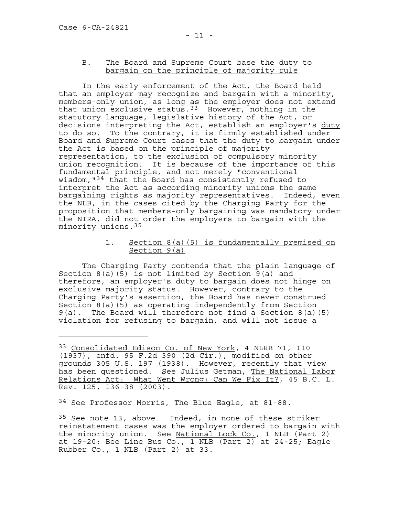## B. The Board and Supreme Court base the duty to bargain on the principle of majority rule

In the early enforcement of the Act, the Board held that an employer may recognize and bargain with a minority, members-only union, as long as the employer does not extend that union exclusive status.[33](#page-10-0) However, nothing in the statutory language, legislative history of the Act, or decisions interpreting the Act, establish an employer's duty to do so. To the contrary, it is firmly established under Board and Supreme Court cases that the duty to bargain under the Act is based on the principle of majority representation, to the exclusion of compulsory minority union recognition. It is because of the importance of this fundamental principle, and not merely "conventional wisdom,"[34](#page-10-1) that the Board has consistently refused to interpret the Act as according minority unions the same bargaining rights as majority representatives. Indeed, even the NLB, in the cases cited by the Charging Party for the proposition that members-only bargaining was mandatory under the NIRA, did not order the employers to bargain with the minority unions.[35](#page-10-2)

# 1. Section 8(a)(5) is fundamentally premised on Section 9(a)

 The Charging Party contends that the plain language of Section  $8(a)(5)$  is not limited by Section  $9(a)$  and therefore, an employer's duty to bargain does not hinge on exclusive majority status. However, contrary to the Charging Party's assertion, the Board has never construed Section 8(a)(5) as operating independently from Section 9(a). The Board will therefore not find a Section 8(a)(5) violation for refusing to bargain, and will not issue a

<span id="page-10-1"></span><sup>34</sup> See Professor Morris, The Blue Eagle, at 81-88.

<span id="page-10-2"></span><sup>35</sup> See note 13, above. Indeed, in none of these striker reinstatement cases was the employer ordered to bargain with the minority union. See National Lock Co., 1 NLB (Part 2) at 19-20; Bee Line Bus Co., 1 NLB (Part 2) at 24-25; Eagle Rubber Co., 1 NLB (Part 2) at 33.

<span id="page-10-0"></span><sup>&</sup>lt;sup>33</sup> Consolidated Edison Co. of New York, 4 NLRB 71, 110 (1937), enfd. 95 F.2d 390 (2d Cir.), modified on other grounds 305 U.S. 197 (1938). However, recently that view has been questioned. See Julius Getman, The National Labor Relations Act: What Went Wrong; Can We Fix It?, 45 B.C. L. Rev. 125, 136-38 (2003).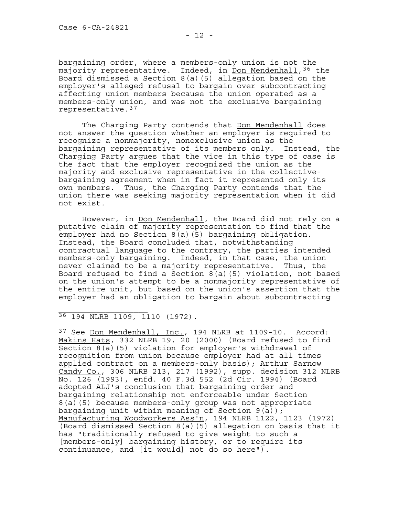bargaining order, where a members-only union is not the majority representative. Indeed, in Don Mendenhall,  $36$  the Board dismissed a Section 8(a)(5) allegation based on the employer's alleged refusal to bargain over subcontracting affecting union members because the union operated as a members-only union, and was not the exclusive bargaining representative.[37](#page-11-1)

The Charging Party contends that Don Mendenhall does not answer the question whether an employer is required to recognize a nonmajority, nonexclusive union as the bargaining representative of its members only. Instead, the Charging Party argues that the vice in this type of case is the fact that the employer recognized the union as the majority and exclusive representative in the collectivebargaining agreement when in fact it represented only its own members. Thus, the Charging Party contends that the union there was seeking majority representation when it did not exist.

However, in Don Mendenhall, the Board did not rely on a putative claim of majority representation to find that the employer had no Section 8(a)(5) bargaining obligation. Instead, the Board concluded that, notwithstanding contractual language to the contrary, the parties intended members-only bargaining. Indeed, in that case, the union never claimed to be a majority representative. Thus, the Board refused to find a Section 8(a)(5) violation, not based on the union's attempt to be a nonmajority representative of the entire unit, but based on the union's assertion that the employer had an obligation to bargain about subcontracting

<span id="page-11-0"></span> $\_$ 36 194 NLRB 1109, 1110 (1972).

<span id="page-11-1"></span><sup>37</sup> See Don Mendenhall, Inc., 194 NLRB at 1109-10. Accord: Makins Hats, 332 NLRB 19, 20 (2000) (Board refused to find Section 8(a)(5) violation for employer's withdrawal of recognition from union because employer had at all times applied contract on a members-only basis); Arthur Sarnow Candy Co., 306 NLRB 213, 217 (1992), supp. decision 312 NLRB No. 126 (1993), enfd. 40 F.3d 552 (2d Cir. 1994) (Board adopted ALJ's conclusion that bargaining order and bargaining relationship not enforceable under Section 8(a)(5) because members-only group was not appropriate bargaining unit within meaning of Section  $9(a)$ ; Manufacturing Woodworkers Ass'n, 194 NLRB 1122, 1123 (1972) (Board dismissed Section 8(a)(5) allegation on basis that it has "traditionally refused to give weight to such a [members-only] bargaining history, or to require its continuance, and [it would] not do so here").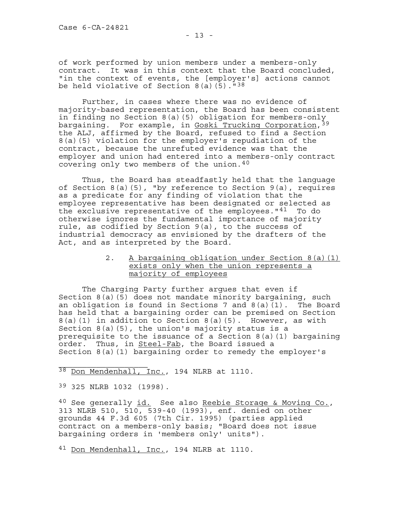of work performed by union members under a members-only contract. It was in this context that the Board concluded, "in the context of events, the [employer's] actions cannot be held violative of Section  $8(a)$  (5).<sup> $n38$  $n38$ </sup>

Further, in cases where there was no evidence of majority-based representation, the Board has been consistent in finding no Section 8(a)(5) obligation for members-only bargaining. For example, in Goski Trucking Corporation, [39](#page-12-1) the ALJ, affirmed by the Board, refused to find a Section 8(a)(5) violation for the employer's repudiation of the contract, because the unrefuted evidence was that the employer and union had entered into a members-only contract covering only two members of the union.[40](#page-12-2)

 Thus, the Board has steadfastly held that the language of Section  $8(a)(5)$ , "by reference to Section  $9(a)$ , requires as a predicate for any finding of violation that the employee representative has been designated or selected as the exclusive representative of the employees."<sup>[41](#page-12-3)</sup> To do otherwise ignores the fundamental importance of majority rule, as codified by Section 9(a), to the success of industrial democracy as envisioned by the drafters of the Act, and as interpreted by the Board.

> 2. A bargaining obligation under Section 8(a)(1) exists only when the union represents a majority of employees

 The Charging Party further argues that even if Section 8(a)(5) does not mandate minority bargaining, such an obligation is found in Sections 7 and 8(a)(1). The Board has held that a bargaining order can be premised on Section 8(a)(1) in addition to Section 8(a)(5). However, as with Section 8(a)(5), the union's majority status is a prerequisite to the issuance of a Section 8(a)(1) bargaining order. Thus, in Steel-Fab, the Board issued a Section  $8(a)(1)$  bargaining order to remedy the employer's

<span id="page-12-0"></span>38 <u>Don Mendenhall, Inc.</u>, 194 NLRB at 1110.

<span id="page-12-1"></span>39 325 NLRB 1032 (1998).

 $\_$ 

<span id="page-12-2"></span>40 See generally id. See also Reebie Storage & Moving Co., 313 NLRB 510, 510, 539-40 (1993), enf. denied on other grounds 44 F.3d 605 (7th Cir. 1995) (parties applied contract on a members-only basis; "Board does not issue bargaining orders in 'members only' units").

<span id="page-12-3"></span>41 Don Mendenhall, Inc., 194 NLRB at 1110.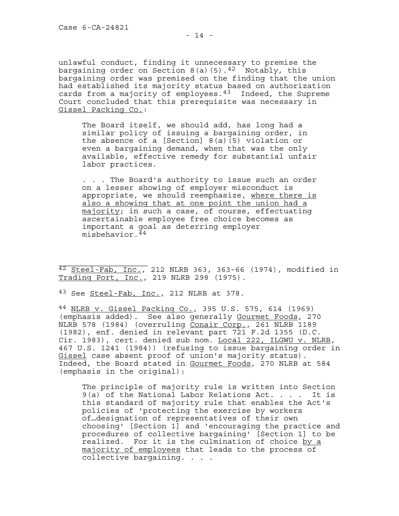unlawful conduct, finding it unnecessary to premise the bargaining order on Section 8(a)(5).<sup>[42](#page-13-0)</sup> Notably, this bargaining order was premised on the finding that the union had established its majority status based on authorization cards from a majority of employees. $43$  Indeed, the Supreme Court concluded that this prerequisite was necessary in Gissel Packing Co.:

The Board itself, we should add, has long had a similar policy of issuing a bargaining order, in the absence of a [Section] 8(a)(5) violation or even a bargaining demand, when that was the only available, effective remedy for substantial unfair labor practices.

. . . The Board's authority to issue such an order on a lesser showing of employer misconduct is appropriate, we should reemphasize, where there is also a showing that at one point the union had a majority; in such a case, of course, effectuating ascertainable employee free choice becomes as important a goal as deterring employer misbehavior.[44](#page-13-2)

<span id="page-13-0"></span> $42$  Steel-Fab, Inc., 212 NLRB 363, 363-66 (1974), modified in Trading Port, Inc., 219 NLRB 298 (1975).

<span id="page-13-1"></span> $43$  See Steel-Fab, Inc., 212 NLRB at 378.

\_\_\_\_\_\_\_\_\_\_\_\_\_\_\_\_\_\_\_

<span id="page-13-2"></span>44 NLRB v. Gissel Packing Co., 395 U.S. 575, 614 (1969) (emphasis added). See also generally Gourmet Foods, 270 NLRB 578 (1984) (overruling Conair Corp., 261 NLRB 1189 (1982), enf. denied in relevant part 721 F.2d 1355 (D.C. Cir. 1983), cert. denied sub nom. Local 222, ILGWU v. NLRB, 467 U.S. 1241 (1984)) (refusing to issue bargaining order in Gissel case absent proof of union's majority status). Indeed, the Board stated in Gourmet Foods, 270 NLRB at 584 (emphasis in the original):

The principle of majority rule is written into Section 9(a) of the National Labor Relations Act. . . . It is this standard of majority rule that enables the Act's policies of 'protecting the exercise by workers of…designation of representatives of their own choosing' [Section 1] and 'encouraging the practice and procedures of collective bargaining' [Section 1] to be realized. For it is the culmination of choice by a majority of employees that leads to the process of collective bargaining. . . .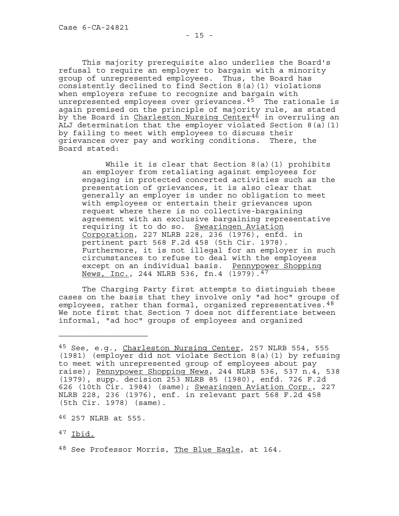This majority prerequisite also underlies the Board's refusal to require an employer to bargain with a minority group of unrepresented employees. Thus, the Board has consistently declined to find Section 8(a)(1) violations when employers refuse to recognize and bargain with unrepresented employees over grievances.<sup>[45](#page-14-0)</sup> The rationale is again premised on the principle of majority rule, as stated by the Board in <u>Charleston Nursing Center<sup>[46](#page-14-1)</sup> in overruling</u> an ALJ determination that the employer violated Section 8(a)(1) by failing to meet with employees to discuss their grievances over pay and working conditions. There, the Board stated:

While it is clear that Section 8(a)(1) prohibits an employer from retaliating against employees for engaging in protected concerted activities such as the presentation of grievances, it is also clear that generally an employer is under no obligation to meet with employees or entertain their grievances upon request where there is no collective-bargaining agreement with an exclusive bargaining representative requiring it to do so. Swearingen Aviation Corporation, 227 NLRB 228, 236 (1976), enfd. in pertinent part 568 F.2d 458 (5th Cir. 1978). Furthermore, it is not illegal for an employer in such circumstances to refuse to deal with the employees except on an individual basis. Pennypower Shopping News, Inc., 244 NLRB 536, fn.4 (1979).<sup>[47](#page-14-2)</sup>

The Charging Party first attempts to distinguish these cases on the basis that they involve only "ad hoc" groups of employees, rather than formal, organized representatives.<sup>[48](#page-14-3)</sup> We note first that Section 7 does not differentiate between informal, "ad hoc" groups of employees and organized

\_\_\_\_\_\_\_\_\_\_\_\_\_\_\_\_\_\_\_

<span id="page-14-0"></span><sup>45</sup> See, e.g., Charleston Nursing Center, 257 NLRB 554, 555 (1981) (employer did not violate Section 8(a)(1) by refusing to meet with unrepresented group of employees about pay raise); Pennypower Shopping News, 244 NLRB 536, 537 n.4, 538 (1979), supp. decision 253 NLRB 85 (1980), enfd. 726 F.2d 626 (10th Cir. 1984) (same); Swearingen Aviation Corp., 227 NLRB 228, 236 (1976), enf. in relevant part 568 F.2d 458 (5th Cir. 1978) (same).

<span id="page-14-1"></span><sup>46</sup> 257 NLRB at 555.

<span id="page-14-2"></span><sup>47</sup> Ibid.

<span id="page-14-3"></span><sup>48</sup> See Professor Morris, The Blue Eagle, at 164.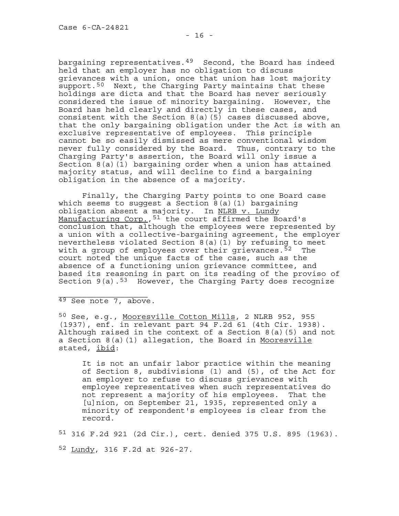bargaining representatives.[49](#page-15-0) Second, the Board has indeed held that an employer has no obligation to discuss grievances with a union, once that union has lost majority support.<sup>[50](#page-15-1)</sup> Next, the Charging Party maintains that these holdings are dicta and that the Board has never seriously considered the issue of minority bargaining. However, the Board has held clearly and directly in these cases, and consistent with the Section 8(a)(5) cases discussed above, that the only bargaining obligation under the Act is with an exclusive representative of employees. This principle cannot be so easily dismissed as mere conventional wisdom never fully considered by the Board. Thus, contrary to the Charging Party's assertion, the Board will only issue a Section 8(a)(1) bargaining order when a union has attained majority status, and will decline to find a bargaining obligation in the absence of a majority.

<span id="page-15-4"></span>Finally, the Charging Party points to one Board case which seems to suggest a Section 8(a)(1) bargaining obligation absent a majority. In NLRB v. Lundy Manufacturing Corp., <sup>[51](#page-15-2)</sup> the court affirmed the Board's conclusion that, although the employees were represented by a union with a collective-bargaining agreement, the employer nevertheless violated Section 8(a)(1) by refusing to meet with a group of employees over their grievances.<sup>[52](#page-15-3)</sup> The court noted the unique facts of the case, such as the absence of a functioning union grievance committee, and based its reasoning in part on its reading of the proviso of Section  $9(a)$ .<sup>[53](#page-15-4)</sup> However, the Charging Party does recognize

<span id="page-15-0"></span> $\_$  $49$  See note 7, above.

<span id="page-15-1"></span>50 See, e.g., Mooresville Cotton Mills, 2 NLRB 952, 955 (1937), enf. in relevant part 94 F.2d 61 (4th Cir. 1938). Although raised in the context of a Section 8(a)(5) and not a Section 8(a)(1) allegation, the Board in Mooresville stated, ibid:

It is not an unfair labor practice within the meaning of Section 8, subdivisions (1) and (5), of the Act for an employer to refuse to discuss grievances with employee representatives when such representatives do not represent a majority of his employees. That the [u]nion, on September 21, 1935, represented only a minority of respondent's employees is clear from the record.

<span id="page-15-3"></span><span id="page-15-2"></span>51 316 F.2d 921 (2d Cir.), cert. denied 375 U.S. 895 (1963). 52 Lundy, 316 F.2d at 926-27.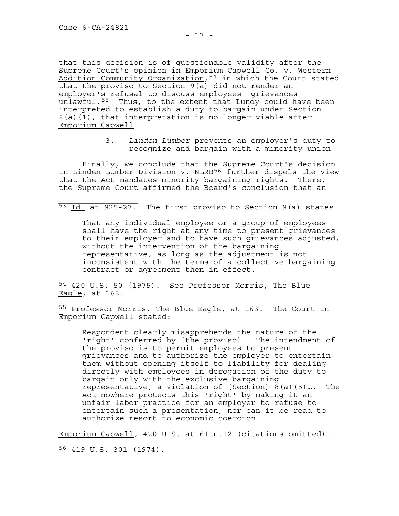that this decision is of questionable validity after the Supreme Court's opinion in Emporium Capwell Co. v. Western Addition Community Organization,[54](#page-16-0) in which the Court stated that the proviso to Section 9(a) did not render an employer's refusal to discuss employees' grievances unlawful.<sup>[55](#page-16-1)</sup> Thus, to the extent that Lundy could have been interpreted to establish a duty to bargain under Section 8(a)(1), that interpretation is no longer viable after Emporium Capwell.

# 3. Linden Lumber prevents an employer's duty to recognize and bargain with a minority union

 Finally, we conclude that the Supreme Court's decision in <u>Linden Lumber Division v. NLRB[56](#page-16-2)</u> further dispels the view that the Act mandates minority bargaining rights. There, the Supreme Court affirmed the Board's conclusion that an

 $\overline{\phantom{a}}$  , where the contract of the contract of the contract of the contract of the contract of the contract of the contract of the contract of the contract of the contract of the contract of the contract of the contr 53 Id. at 925-27. The first proviso to Section 9(a) states:

That any individual employee or a group of employees shall have the right at any time to present grievances to their employer and to have such grievances adjusted, without the intervention of the bargaining representative, as long as the adjustment is not inconsistent with the terms of a collective-bargaining contract or agreement then in effect.

<span id="page-16-0"></span>54 420 U.S. 50 (1975). See Professor Morris, The Blue Eagle, at 163.

<span id="page-16-1"></span>55 Professor Morris, The Blue Eagle, at 163. The Court in Emporium Capwell stated:

Respondent clearly misapprehends the nature of the 'right' conferred by [the proviso]. The intendment of the proviso is to permit employees to present grievances and to authorize the employer to entertain them without opening itself to liability for dealing directly with employees in derogation of the duty to bargain only with the exclusive bargaining representative, a violation of [Section] 8(a)(5)…. The Act nowhere protects this 'right' by making it an unfair labor practice for an employer to refuse to entertain such a presentation, nor can it be read to authorize resort to economic coercion.

<span id="page-16-2"></span>Emporium Capwell, 420 U.S. at 61 n.12 (citations omitted). 56 419 U.S. 301 (1974).